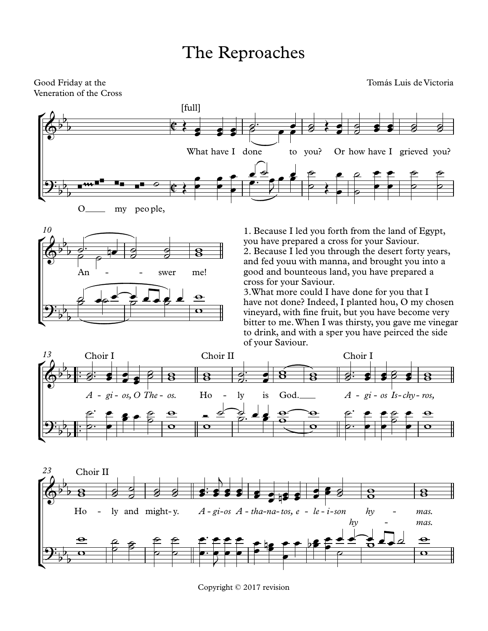## The Reproaches

Veneration of the Cross

Good Friday at the Tomás Luis de Victoria





1. Because I led you forth from the land of Egypt, you have prepared a cross for your Saviour. 2. Because I led you through the desert forty years, and fed youu with manna, and brought you into a good and bounteous land, you have prepared a cross for your Saviour.

3.What more could I have done for you that I have not done? Indeed, I planted hou, O my chosen vineyard, with fine fruit, but you have become very bitter to me.When I was thirsty, you gave me vinegar to drink, and with a sper you have peirced the side





Copyright © 2017 revision